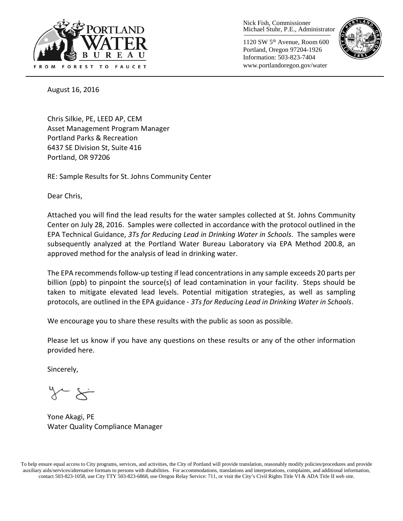

Nick Fish, Commissioner Michael Stuhr, P.E., Administrator

1120 SW 5th Avenue, Room 600 Portland, Oregon 97204-1926 Information: 503-823-7404 www.portlandoregon.gov/water



August 16, 2016

Chris Silkie, PE, LEED AP, CEM Asset Management Program Manager Portland Parks & Recreation 6437 SE Division St, Suite 416 Portland, OR 97206

RE: Sample Results for St. Johns Community Center

Dear Chris,

Attached you will find the lead results for the water samples collected at St. Johns Community Center on July 28, 2016. Samples were collected in accordance with the protocol outlined in the EPA Technical Guidance, *3Ts for Reducing Lead in Drinking Water in Schools*. The samples were subsequently analyzed at the Portland Water Bureau Laboratory via EPA Method 200.8, an approved method for the analysis of lead in drinking water.

The EPA recommends follow-up testing if lead concentrations in any sample exceeds 20 parts per billion (ppb) to pinpoint the source(s) of lead contamination in your facility. Steps should be taken to mitigate elevated lead levels. Potential mitigation strategies, as well as sampling protocols, are outlined in the EPA guidance - *3Ts for Reducing Lead in Drinking Water in Schools*.

We encourage you to share these results with the public as soon as possible.

Please let us know if you have any questions on these results or any of the other information provided here.

Sincerely,

Yone Akagi, PE Water Quality Compliance Manager

To help ensure equal access to City programs, services, and activities, the City of Portland will provide translation, reasonably modify policies/procedures and provide auxiliary aids/services/alternative formats to persons with disabilities. For accommodations, translations and interpretations, complaints, and additional information, contact 503-823-1058, use City TTY 503-823-6868, use Oregon Relay Service: 711, or visi[t the City's Civil Rights Title VI & ADA Title II web site.](http://www.portlandoregon.gov/oehr/66458)